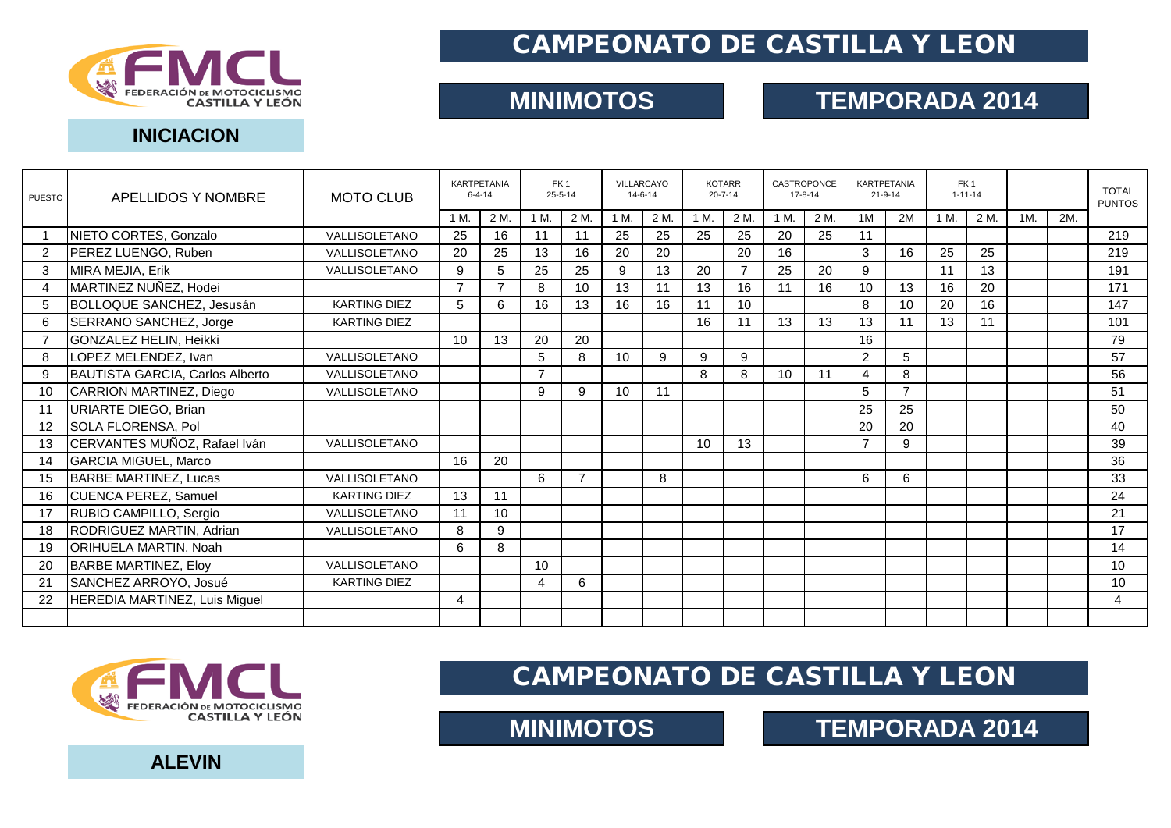

# CAMPEONATO DE CASTILLA Y LEON

# **MINIMOTOS TEMPORADA 2014**

#### **INICIACION**

| <b>PUESTO</b>  | APELLIDOS Y NOMBRE              | <b>MOTO CLUB</b>    | KARTPETANIA<br>$6 - 4 - 14$ |      | FK <sub>1</sub><br>$25 - 5 - 14$ |                | VILLARCAYO<br>$14 - 6 - 14$ |      | <b>KOTARR</b><br>$20 - 7 - 14$ |                 | CASTROPONCE<br>$17 - 8 - 14$ |      | KARTPETANIA<br>$21 - 9 - 14$ |    | FK <sub>1</sub><br>$1 - 11 - 14$ |      |     |     | <b>TOTAL</b><br><b>PUNTOS</b> |
|----------------|---------------------------------|---------------------|-----------------------------|------|----------------------------------|----------------|-----------------------------|------|--------------------------------|-----------------|------------------------------|------|------------------------------|----|----------------------------------|------|-----|-----|-------------------------------|
|                |                                 |                     | 1 M                         | 2 M. | 1 M.                             | 2 M.           | 1 M.                        | 2 M. | 1 M.                           | 2 M.            | 1 M.                         | 2 M. | 1M                           | 2M | 1 M.                             | 2 M. | 1M. | 2M. |                               |
|                | NIETO CORTES, Gonzalo           | VALLISOLETANO       | 25                          | 16   | 11                               | 11             | 25                          | 25   | 25                             | 25              | 20                           | 25   | 11                           |    |                                  |      |     |     | 219                           |
| 2              | PEREZ LUENGO, Ruben             | VALLISOLETANO       | 20                          | 25   | 13                               | 16             | 20                          | 20   |                                | 20              | 16                           |      | 3                            | 16 | 25                               | 25   |     |     | 219                           |
| 3              | MIRA MEJIA, Erik                | VALLISOLETANO       | 9                           | 5    | 25                               | 25             | 9                           | 13   | 20                             |                 | 25                           | 20   | 9                            |    | 11                               | 13   |     |     | 191                           |
| 4              | MARTINEZ NUÑEZ, Hodei           |                     | $\overline{7}$              | 7    | 8                                | 10             | 13                          | 11   | 13                             | 16              | 11                           | 16   | 10                           | 13 | 16                               | 20   |     |     | 171                           |
| 5              | BOLLOQUE SANCHEZ, Jesusán       | <b>KARTING DIEZ</b> | 5                           | 6    | 16                               | 13             | 16                          | 16   | 11                             | 10 <sup>1</sup> |                              |      | 8                            | 10 | 20                               | 16   |     |     | 147                           |
| 6              | SERRANO SANCHEZ, Jorge          | <b>KARTING DIEZ</b> |                             |      |                                  |                |                             |      | 16                             | 11              | 13                           | 13   | 13                           | 11 | 13                               | 11   |     |     | 101                           |
| $\overline{7}$ | GONZALEZ HELIN, Heikki          |                     | 10                          | 13   | 20                               | 20             |                             |      |                                |                 |                              |      | 16                           |    |                                  |      |     |     | 79                            |
| 8              | LOPEZ MELENDEZ, Ivan            | VALLISOLETANO       |                             |      | 5                                | 8              | 10                          | 9    | 9                              | 9               |                              |      | 2                            | 5  |                                  |      |     |     | 57                            |
| 9              | BAUTISTA GARCIA, Carlos Alberto | VALLISOLETANO       |                             |      | 7                                |                |                             |      | 8                              | 8               | 10                           | 11   | 4                            | 8  |                                  |      |     |     | 56                            |
| 10             | CARRION MARTINEZ, Diego         | VALLISOLETANO       |                             |      | 9                                | 9              | 10                          | 11   |                                |                 |                              |      | 5                            | ⇁  |                                  |      |     |     | 51                            |
| 11             | URIARTE DIEGO, Brian            |                     |                             |      |                                  |                |                             |      |                                |                 |                              |      | 25                           | 25 |                                  |      |     |     | 50                            |
| 12             | SOLA FLORENSA, Pol              |                     |                             |      |                                  |                |                             |      |                                |                 |                              |      | 20                           | 20 |                                  |      |     |     | 40                            |
| 13             | CERVANTES MUÑOZ, Rafael Iván    | VALLISOLETANO       |                             |      |                                  |                |                             |      | 10                             | 13              |                              |      | $\overline{7}$               | 9  |                                  |      |     |     | 39                            |
| 14             | <b>GARCIA MIGUEL, Marco</b>     |                     | 16                          | 20   |                                  |                |                             |      |                                |                 |                              |      |                              |    |                                  |      |     |     | 36                            |
| 15             | <b>BARBE MARTINEZ, Lucas</b>    | VALLISOLETANO       |                             |      | 6                                | $\overline{7}$ |                             | 8    |                                |                 |                              |      | 6                            | 6  |                                  |      |     |     | 33                            |
| 16             | CUENCA PEREZ, Samuel            | <b>KARTING DIEZ</b> | 13                          | 11   |                                  |                |                             |      |                                |                 |                              |      |                              |    |                                  |      |     |     | 24                            |
| 17             | RUBIO CAMPILLO, Sergio          | VALLISOLETANO       | 11                          | 10   |                                  |                |                             |      |                                |                 |                              |      |                              |    |                                  |      |     |     | 21                            |
| 18             | RODRIGUEZ MARTIN, Adrian        | VALLISOLETANO       | 8                           | 9    |                                  |                |                             |      |                                |                 |                              |      |                              |    |                                  |      |     |     | 17                            |
| 19             | <b>ORIHUELA MARTIN, Noah</b>    |                     | 6                           | 8    |                                  |                |                             |      |                                |                 |                              |      |                              |    |                                  |      |     |     | 14                            |
| 20             | <b>BARBE MARTINEZ, Eloy</b>     | VALLISOLETANO       |                             |      | 10                               |                |                             |      |                                |                 |                              |      |                              |    |                                  |      |     |     | 10                            |
| 21             | SANCHEZ ARROYO, Josué           | <b>KARTING DIEZ</b> |                             |      | $\overline{4}$                   | 6              |                             |      |                                |                 |                              |      |                              |    |                                  |      |     |     | 10                            |
| 22             | HEREDIA MARTINEZ, Luis Miguel   |                     | 4                           |      |                                  |                |                             |      |                                |                 |                              |      |                              |    |                                  |      |     |     | 4                             |
|                |                                 |                     |                             |      |                                  |                |                             |      |                                |                 |                              |      |                              |    |                                  |      |     |     |                               |



CAMPEONATO DE CASTILLA Y LEON

**MINIMOTOS TEMPORADA 2014** 

**ALEVIN**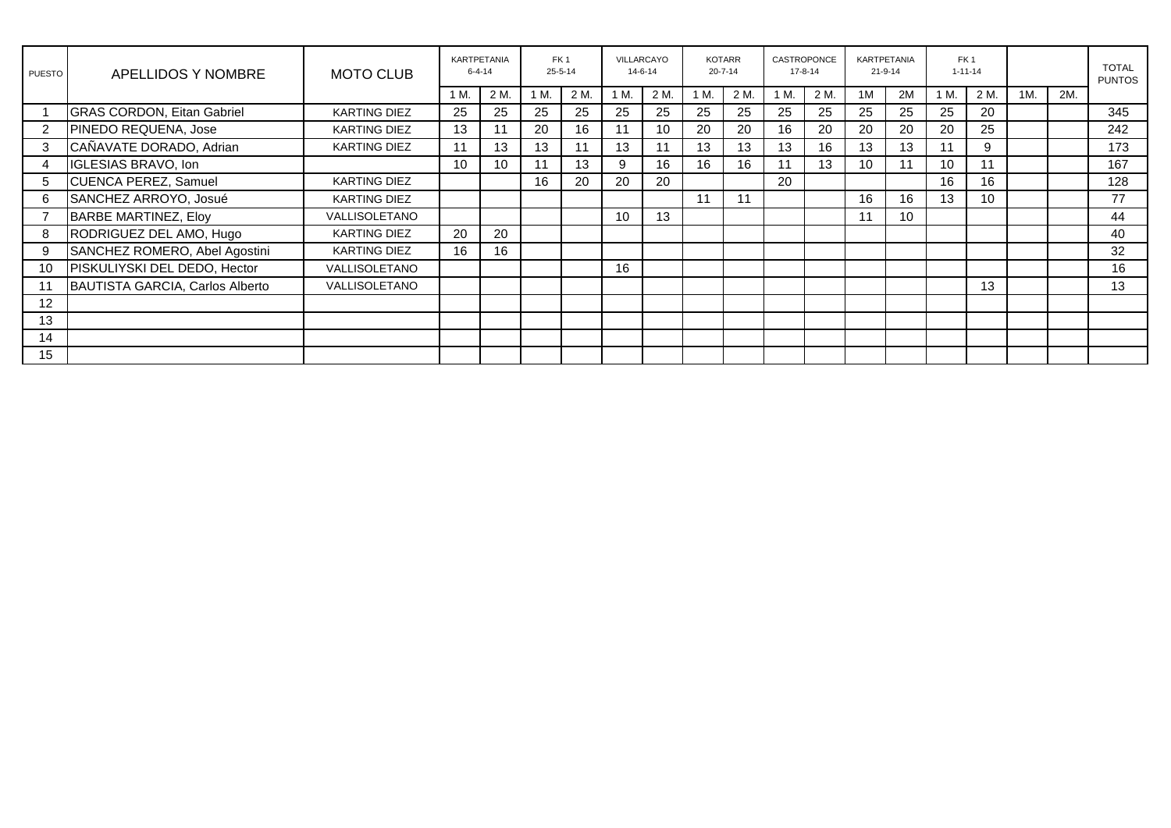| PUESTO | APELLIDOS Y NOMBRE                | <b>MOTO CLUB</b>    | KARTPETANIA<br>$6 - 4 - 14$ |      | FK <sub>1</sub><br>$25 - 5 - 14$ |      | VILLARCAYO<br>$14 - 6 - 14$ |     | <b>KOTARR</b><br>$20 - 7 - 14$ |      | CASTROPONCE<br>$17 - 8 - 14$ |      | KARTPETANIA<br>$21 - 9 - 14$ |                 | FK <sub>1</sub><br>$1 - 11 - 14$ |      |     |     | <b>TOTAL</b><br><b>PUNTOS</b> |
|--------|-----------------------------------|---------------------|-----------------------------|------|----------------------------------|------|-----------------------------|-----|--------------------------------|------|------------------------------|------|------------------------------|-----------------|----------------------------------|------|-----|-----|-------------------------------|
|        |                                   |                     | 1 M.                        | 2 M. | 1 M.                             | 2 M. | М.                          | 2 M | 1 M.                           | 2 M. | 1 M.                         | 2 M. | 1M                           | 2M              | 1 M.                             | 2 M. | 1M. | 2M. |                               |
|        | <b>GRAS CORDON, Eitan Gabriel</b> | <b>KARTING DIEZ</b> | 25                          | 25   | 25                               | 25   | 25                          | 25  | 25                             | 25   | 25                           | 25   | 25                           | 25              | 25                               | 20   |     |     | 345                           |
| 2      | PINEDO REQUENA, Jose              | <b>KARTING DIEZ</b> | 13                          | 11   | 20                               | 16   | 11                          | 10  | 20                             | 20   | 16                           | 20   | 20                           | 20              | 20                               | 25   |     |     | 242                           |
| 3      | CAÑAVATE DORADO, Adrian           | <b>KARTING DIEZ</b> | 11                          | 13   | 13                               | 11   | 13                          | 11  | 13                             | 13   | 13                           | 16   | 13                           | 13              | 11                               | 9    |     |     | 173                           |
| 4      | IGLESIAS BRAVO, Ion               |                     | 10                          | 10   | 11                               | 13   | 9                           | 16  | 16                             | 16   |                              | 13   | 10                           | 11              | 10                               | 11   |     |     | 167                           |
| 5      | <b>CUENCA PEREZ, Samuel</b>       | <b>KARTING DIEZ</b> |                             |      | 16                               | 20   | 20                          | 20  |                                |      | 20                           |      |                              |                 | 16                               | 16   |     |     | 128                           |
| 6      | SANCHEZ ARROYO, Josué             | <b>KARTING DIEZ</b> |                             |      |                                  |      |                             |     | 11                             | 11   |                              |      | 16                           | 16              | 13                               | 10   |     |     | 77                            |
|        | <b>BARBE MARTINEZ, Eloy</b>       | VALLISOLETANO       |                             |      |                                  |      | 10                          | 13  |                                |      |                              |      | 11                           | 10 <sup>°</sup> |                                  |      |     |     | 44                            |
| 8      | RODRIGUEZ DEL AMO, Hugo           | <b>KARTING DIEZ</b> | 20                          | 20   |                                  |      |                             |     |                                |      |                              |      |                              |                 |                                  |      |     |     | 40                            |
| 9      | SANCHEZ ROMERO, Abel Agostini     | <b>KARTING DIEZ</b> | 16                          | 16   |                                  |      |                             |     |                                |      |                              |      |                              |                 |                                  |      |     |     | 32                            |
| 10     | PISKULIYSKI DEL DEDO, Hector      | VALLISOLETANO       |                             |      |                                  |      | 16                          |     |                                |      |                              |      |                              |                 |                                  |      |     |     | 16                            |
| 11     | BAUTISTA GARCIA, Carlos Alberto   | VALLISOLETANO       |                             |      |                                  |      |                             |     |                                |      |                              |      |                              |                 |                                  | 13   |     |     | 13                            |
| 12     |                                   |                     |                             |      |                                  |      |                             |     |                                |      |                              |      |                              |                 |                                  |      |     |     |                               |
| 13     |                                   |                     |                             |      |                                  |      |                             |     |                                |      |                              |      |                              |                 |                                  |      |     |     |                               |
| 14     |                                   |                     |                             |      |                                  |      |                             |     |                                |      |                              |      |                              |                 |                                  |      |     |     |                               |
| 15     |                                   |                     |                             |      |                                  |      |                             |     |                                |      |                              |      |                              |                 |                                  |      |     |     |                               |